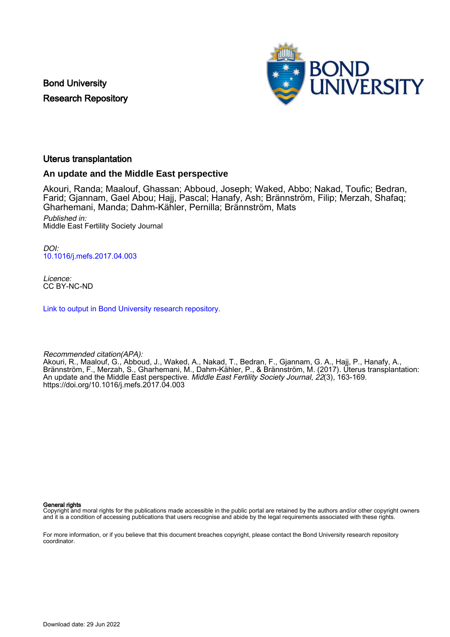Bond University Research Repository



# Uterus transplantation

# **An update and the Middle East perspective**

Akouri, Randa; Maalouf, Ghassan; Abboud, Joseph; Waked, Abbo; Nakad, Toufic; Bedran, Farid; Gjannam, Gael Abou; Hajj, Pascal; Hanafy, Ash; Brännström, Filip; Merzah, Shafaq; Gharhemani, Manda; Dahm-Kähler, Pernilla; Brännström, Mats Published in: Middle East Fertility Society Journal

DOI: [10.1016/j.mefs.2017.04.003](https://doi.org/10.1016/j.mefs.2017.04.003)

Licence: CC BY-NC-ND

[Link to output in Bond University research repository.](https://research.bond.edu.au/en/publications/3a8eb100-ffac-4aed-b11a-0ef36bdbf48c)

Recommended citation(APA): Akouri, R., Maalouf, G., Abboud, J., Waked, A., Nakad, T., Bedran, F., Gjannam, G. A., Hajj, P., Hanafy, A., Brännström, F., Merzah, S., Gharhemani, M., Dahm-Kähler, P., & Brännström, M. (2017). Uterus transplantation: An update and the Middle East perspective. *Middle East Fertility Society Journal, 22*(3), 163-169. <https://doi.org/10.1016/j.mefs.2017.04.003>

General rights

Copyright and moral rights for the publications made accessible in the public portal are retained by the authors and/or other copyright owners and it is a condition of accessing publications that users recognise and abide by the legal requirements associated with these rights.

For more information, or if you believe that this document breaches copyright, please contact the Bond University research repository coordinator.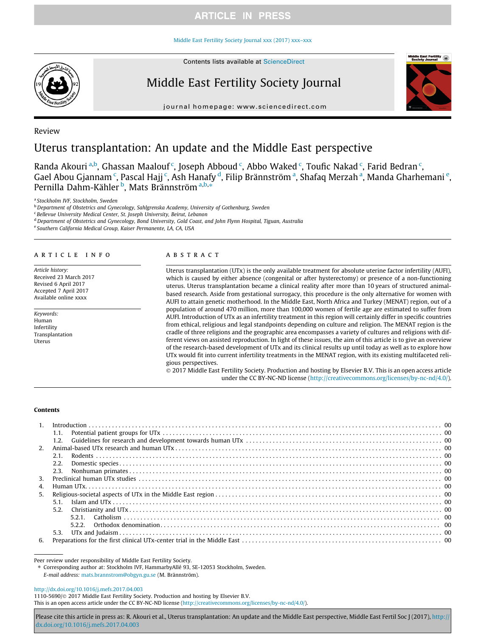# **ARTICLE IN PRESS**

#### Middle East Fertility Society Journal xxx (2017) xxx–xxx



Contents lists available at ScienceDirect

# Middle East Fertility Society Journal



journal homepage: www.sciencedirect.com

# Review

# Uterus transplantation: An update and the Middle East perspective

Randa Akouri <sup>a,b</sup>, Ghassan Maalouf <sup>c</sup>, Joseph Abboud <sup>c</sup>, Abbo Waked <sup>c</sup>, Toufic Nakad <sup>c</sup>, Farid Bedran <sup>c</sup>, Gael Abou Gjannam <sup>c</sup>, Pascal Hajj <sup>c</sup>, Ash Hanafy <sup>d</sup>, Filip Brännström <sup>a</sup>, Shafaq Merzah <sup>a</sup>, Manda Gharhemani <sup>e</sup>, Pernilla Dahm-Kähler <sup>b</sup>, Mats Brännström <sup>a,b,</sup>\*

<sup>a</sup> Stockholm IVF, Stockholm, Sweden

<sup>b</sup> Department of Obstetrics and Gynecology, Sahlgrenska Academy, University of Gothenburg, Sweden

<sup>c</sup> Bellevue University Medical Center, St. Joseph University, Beirut, Lebanon

<sup>d</sup> Department of Obstetrics and Gynecology, Bond University, Gold Coast, and John Flynn Hospital, Tiguan, Australia

<sup>e</sup> Southern California Medical Group, Kaiser Permanente, LA, CA, USA

### article info

Article history: Received 23 March 2017 Revised 6 April 2017 Accepted 7 April 2017 Available online xxxx

Keywords: Human Infertility Transplantation Uterus

#### **ABSTRACT**

Uterus transplantation (UTx) is the only available treatment for absolute uterine factor infertility (AUFI), which is caused by either absence (congenital or after hysterectomy) or presence of a non-functioning uterus. Uterus transplantation became a clinical reality after more than 10 years of structured animalbased research. Aside from gestational surrogacy, this procedure is the only alternative for women with AUFI to attain genetic motherhood. In the Middle East, North Africa and Turkey (MENAT) region, out of a population of around 470 million, more than 100,000 women of fertile age are estimated to suffer from AUFI. Introduction of UTx as an infertility treatment in this region will certainly differ in specific countries from ethical, religious and legal standpoints depending on culture and religion. The MENAT region is the cradle of three religions and the geographic area encompasses a variety of cultures and religions with different views on assisted reproduction. In light of these issues, the aim of this article is to give an overview of the research-based development of UTx and its clinical results up until today as well as to explore how UTx would fit into current infertility treatments in the MENAT region, with its existing multifaceted religious perspectives.

 2017 Middle East Fertility Society. Production and hosting by Elsevier B.V. This is an open access article under the CC BY-NC-ND license (http://creativecommons.org/licenses/by-nc-nd/4.0/).

## **Contents**

| $1_{\cdot}$    | $Introduction \dots 00$ |  |
|----------------|-------------------------|--|
|                | 1.1.                    |  |
|                | 1.2.                    |  |
| $2^{\circ}$    |                         |  |
|                | 2.1                     |  |
|                | 2.2.                    |  |
|                | 2.3.                    |  |
| 3.             |                         |  |
| 4.             |                         |  |
| 5 <sub>1</sub> |                         |  |
|                | 5.1.                    |  |
|                | 5.2.                    |  |
|                | 521                     |  |
|                | 5.2.2.                  |  |
|                | 5.3.                    |  |
| 6.             |                         |  |

Peer review under responsibility of Middle East Fertility Society.

⇑ Corresponding author at: Stockholm IVF, HammarbyAllé 93, SE-12053 Stockholm, Sweden. E-mail address: mats.brannstrom@obgyn.gu.se (M. Brännström).

http://dx.doi.org/10.1016/j.mefs.2017.04.003

1110-5690/ 2017 Middle East Fertility Society. Production and hosting by Elsevier B.V. This is an open access article under the CC BY-NC-ND license (http://creativecommons.org/licenses/by-nc-nd/4.0/).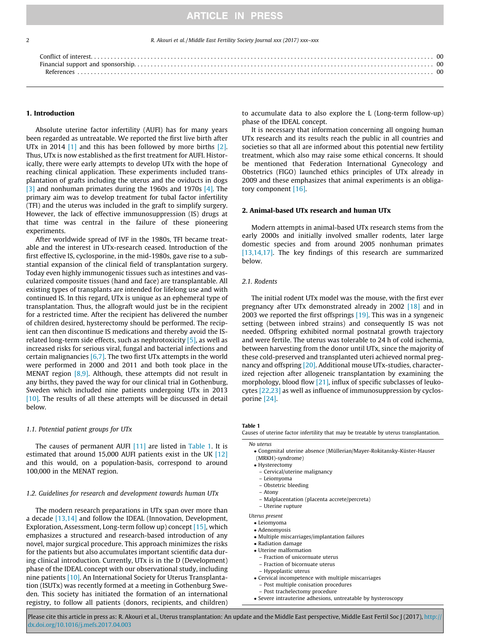2 R. Akouri et al. / Middle East Fertility Society Journal xxx (2017) xxx–xxx

# 1. Introduction

Absolute uterine factor infertility (AUFI) has for many years been regarded as untreatable. We reported the first live birth after UTx in 2014 [1] and this has been followed by more births [2]. Thus, UTx is now established as the first treatment for AUFI. Historically, there were early attempts to develop UTx with the hope of reaching clinical application. These experiments included transplantation of grafts including the uterus and the oviducts in dogs [3] and nonhuman primates during the 1960s and 1970s [4]. The primary aim was to develop treatment for tubal factor infertility (TFI) and the uterus was included in the graft to simplify surgery. However, the lack of effective immunosuppression (IS) drugs at that time was central in the failure of these pioneering experiments.

After worldwide spread of IVF in the 1980s, TFI became treatable and the interest in UTx-research ceased. Introduction of the first effective IS, cyclosporine, in the mid-1980s, gave rise to a substantial expansion of the clinical field of transplantation surgery. Today even highly immunogenic tissues such as intestines and vascularized composite tissues (hand and face) are transplantable. All existing types of transplants are intended for lifelong use and with continued IS. In this regard, UTx is unique as an ephemeral type of transplantation. Thus, the allograft would just be in the recipient for a restricted time. After the recipient has delivered the number of children desired, hysterectomy should be performed. The recipient can then discontinue IS medications and thereby avoid the ISrelated long-term side effects, such as nephrotoxicity [5], as well as increased risks for serious viral, fungal and bacterial infections and certain malignancies  $[6,7]$ . The two first UTx attempts in the world were performed in 2000 and 2011 and both took place in the MENAT region [8,9]. Although, these attempts did not result in any births, they paved the way for our clinical trial in Gothenburg, Sweden which included nine patients undergoing UTx in 2013  $[10]$ . The results of all these attempts will be discussed in detail below.

## 1.1. Potential patient groups for UTx

The causes of permanent AUFI [11] are listed in Table 1. It is estimated that around 15,000 AUFI patients exist in the UK [12] and this would, on a population-basis, correspond to around 100,000 in the MENAT region.

#### 1.2. Guidelines for research and development towards human UTx

The modern research preparations in UTx span over more than a decade [13,14] and follow the IDEAL (Innovation, Development, Exploration, Assessment, Long-term follow up) concept [15], which emphasizes a structured and research-based introduction of any novel, major surgical procedure. This approach minimizes the risks for the patients but also accumulates important scientific data during clinical introduction. Currently, UTx is in the D (Development) phase of the IDEAL concept with our observational study, including nine patients [10]. An International Society for Uterus Transplantation (ISUTx) was recently formed at a meeting in Gothenburg Sweden. This society has initiated the formation of an international registry, to follow all patients (donors, recipients, and children)

to accumulate data to also explore the L (Long-term follow-up) phase of the IDEAL concept.

It is necessary that information concerning all ongoing human UTx research and its results reach the public in all countries and societies so that all are informed about this potential new fertility treatment, which also may raise some ethical concerns. It should be mentioned that Federation International Gynecology and Obstetrics (FIGO) launched ethics principles of UTx already in 2009 and these emphasizes that animal experiments is an obligatory component [16].

### 2. Animal-based UTx research and human UTx

Modern attempts in animal-based UTx research stems from the early 2000s and initially involved smaller rodents, later large domestic species and from around 2005 nonhuman primates [13,14,17]. The key findings of this research are summarized below.

#### 2.1. Rodents

The initial rodent UTx model was the mouse, with the first ever pregnancy after UTx demonstrated already in 2002 [18] and in 2003 we reported the first offsprings [19]. This was in a syngeneic setting (between inbred strains) and consequently IS was not needed. Offspring exhibited normal postnatal growth trajectory and were fertile. The uterus was tolerable to 24 h of cold ischemia, between harvesting from the donor until UTx, since the majority of these cold-preserved and transplanted uteri achieved normal pregnancy and offspring [20]. Additional mouse UTx-studies, characterized rejection after allogeneic transplantation by examining the morphology, blood flow [21], influx of specific subclasses of leukocytes [22,23] as well as influence of immunosuppression by cyclosporine [24].

#### Table 1

Causes of uterine factor infertility that may be treatable by uterus transplantation.

#### No uterus

- Congenital uterine absence (Müllerian/Mayer-Rokitansky-Küster-Hauser (MRKH)-syndrome)
- Hysterectomy
	- Cervical/uterine malignancy
	- Leiomyoma
- Obstetric bleeding
- Atony
- Malplacentation (placenta accrete/percreta)
- Uterine rupture
- Uterus present
	- Leiomyoma
	- Adenomyosis
	- Multiple miscarriages/implantation failures
	- Radiation damage
	- Uterine malformation
		- Fraction of unicornuate uterus
		- Fraction of bicornuate uterus
		- Hypoplastic uterus
	- Cervical incompetence with multiple miscarriages
		- Post multiple conisation procedures
	- Post trachelectomy procedure
	- Severe intrauterine adhesions, untreatable by hysteroscopy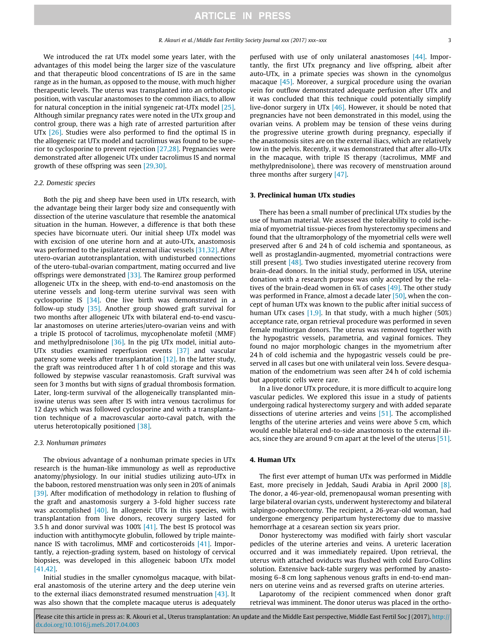We introduced the rat UTx model some years later, with the advantages of this model being the larger size of the vasculature and that therapeutic blood concentrations of IS are in the same range as in the human, as opposed to the mouse, with much higher therapeutic levels. The uterus was transplanted into an orthotopic position, with vascular anastomoses to the common iliacs, to allow for natural conception in the initial syngeneic rat-UTx model [25]. Although similar pregnancy rates were noted in the UTx group and control group, there was a high rate of arrested parturition after UTx [26]. Studies were also performed to find the optimal IS in the allogeneic rat UTx model and tacrolimus was found to be superior to cyclosporine to prevent rejection [27,28]. Pregnancies were demonstrated after allogeneic UTx under tacrolimus IS and normal growth of these offspring was seen [29,30].

### 2.2. Domestic species

Both the pig and sheep have been used in UTx research, with the advantage being their larger body size and consequently with dissection of the uterine vasculature that resemble the anatomical situation in the human. However, a difference is that both these species have bicornuate uteri. Our initial sheep UTx model was with excision of one uterine horn and at auto-UTx, anastomosis was performed to the ipsilateral external iliac vessels [31,32]. After utero-ovarian autotransplantation, with undisturbed connections of the utero-tubal-ovarian compartment, mating occurred and live offsprings were demonstrated  $[33]$ . The Ramirez group performed allogeneic UTx in the sheep, with end-to-end anastomosis on the uterine vessels and long-term uterine survival was seen with cyclosporine IS [34]. One live birth was demonstrated in a follow-up study [35]. Another group showed graft survival for two months after allogeneic UTx with bilateral end-to-end vascular anastomoses on uterine arteries/utero-ovarian veins and with a triple IS protocol of tacrolimus, mycophenolate mofetil (MMF) and methylprednisolone [36]. In the pig UTx model, initial auto-UTx studies examined reperfusion events [37] and vascular patency some weeks after transplantation [12]. In the latter study, the graft was reintroduced after 1 h of cold storage and this was followed by stepwise vascular reanastomosis. Graft survival was seen for 3 months but with signs of gradual thrombosis formation. Later, long-term survival of the allogeneically transplanted miniswine uterus was seen after IS with intra venous tacrolimus for 12 days which was followed cyclosporine and with a transplantation technique of a macrovascular aorto-caval patch, with the uterus heterotopically positioned [38].

#### 2.3. Nonhuman primates

The obvious advantage of a nonhuman primate species in UTx research is the human-like immunology as well as reproductive anatomy/physiology. In our initial studies utilizing auto-UTx in the baboon, restored menstruation was only seen in 20% of animals [39]. After modification of methodology in relation to flushing of the graft and anastomosis surgery a 3-fold higher success rate was accomplished [40]. In allogeneic UTx in this species, with transplantation from live donors, recovery surgery lasted for 3.5 h and donor survival was 100% [41]. The best IS protocol was induction with antithymocyte globulin, followed by triple maintenance IS with tacrolimus, MMF and corticosteroids [41]. Importantly, a rejection-grading system, based on histology of cervical biopsies, was developed in this allogeneic baboon UTx model [41,42].

Initial studies in the smaller cynomolgus macaque, with bilateral anastomosis of the uterine artery and the deep uterine vein to the external iliacs demonstrated resumed menstruation [43]. It was also shown that the complete macaque uterus is adequately

perfused with use of only unilateral anastomoses [44]. Importantly, the first UTx pregnancy and live offspring, albeit after auto-UTx, in a primate species was shown in the cynomolgus macaque [45]. Moreover, a surgical procedure using the ovarian vein for outflow demonstrated adequate perfusion after UTx and it was concluded that this technique could potentially simplify live-donor surgery in UTx [46]. However, it should be noted that pregnancies have not been demonstrated in this model, using the ovarian veins. A problem may be tension of these veins during the progressive uterine growth during pregnancy, especially if the anastomosis sites are on the external iliacs, which are relatively low in the pelvis. Recently, it was demonstrated that after allo-UTx in the macaque, with triple IS therapy (tacrolimus, MMF and methylprednisolone), there was recovery of menstruation around three months after surgery [47].

# 3. Preclinical human UTx studies

There has been a small number of preclinical UTx studies by the use of human material. We assessed the tolerability to cold ischemia of myometrial tissue-pieces from hysterectomy specimens and found that the ultramorphology of the myometrial cells were well preserved after 6 and 24 h of cold ischemia and spontaneous, as well as prostaglandin-augmented, myometrial contractions were still present  $[48]$ . Two studies investigated uterine recovery from brain-dead donors. In the initial study, performed in USA, uterine donation with a research purpose was only accepted by the relatives of the brain-dead women in 6% of cases [49]. The other study was performed in France, almost a decade later [50], when the concept of human UTx was known to the public after initial success of human UTx cases  $[1,9]$ . In that study, with a much higher (50%) acceptance rate, organ retrieval procedure was performed in seven female multiorgan donors. The uterus was removed together with the hypogastric vessels, parametria, and vaginal fornices. They found no major morphologic changes in the myometrium after 24 h of cold ischemia and the hypogastric vessels could be preserved in all cases but one with unilateral vein loss. Severe desquamation of the endometrium was seen after 24 h of cold ischemia but apoptotic cells were rare.

In a live donor UTx procedure, it is more difficult to acquire long vascular pedicles. We explored this issue in a study of patients undergoing radical hysterectomy surgery and with added separate dissections of uterine arteries and veins [51]. The accomplished lengths of the uterine arteries and veins were above 5 cm, which would enable bilateral end-to-side anastomosis to the external iliacs, since they are around 9 cm apart at the level of the uterus  $[51]$ .

# 4. Human UTx

The first ever attempt of human UTx was performed in Middle East, more precisely in Jeddah, Saudi Arabia in April 2000 [8]. The donor, a 46-year-old, premenopausal woman presenting with large bilateral ovarian cysts, underwent hysterectomy and bilateral salpingo-oophorectomy. The recipient, a 26-year-old woman, had undergone emergency peripartum hysterectomy due to massive hemorrhage at a cesarean section six years prior.

Donor hysterectomy was modified with fairly short vascular pedicles of the uterine arteries and veins. A ureteric laceration occurred and it was immediately repaired. Upon retrieval, the uterus with attached oviducts was flushed with cold Euro-Collins solution. Extensive back-table surgery was performed by anastomosing 6–8 cm long saphenous venous grafts in end-to-end manners on uterine veins and as reversed grafts on uterine arteries.

Laparotomy of the recipient commenced when donor graft retrieval was imminent. The donor uterus was placed in the ortho-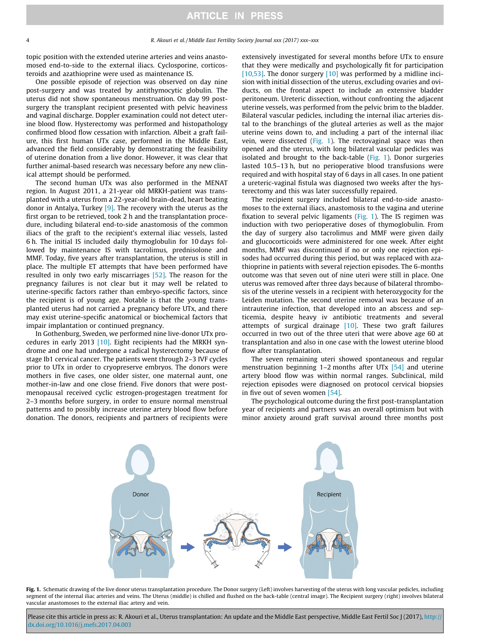topic position with the extended uterine arteries and veins anastomosed end-to-side to the external iliacs. Cyclosporine, corticosteroids and azathioprine were used as maintenance IS.

One possible episode of rejection was observed on day nine post-surgery and was treated by antithymocytic globulin. The uterus did not show spontaneous menstruation. On day 99 postsurgery the transplant recipient presented with pelvic heaviness and vaginal discharge. Doppler examination could not detect uterine blood flow. Hysterectomy was performed and histopathology confirmed blood flow cessation with infarction. Albeit a graft failure, this first human UTx case, performed in the Middle East, advanced the field considerably by demonstrating the feasibility of uterine donation from a live donor. However, it was clear that further animal-based research was necessary before any new clinical attempt should be performed.

The second human UTx was also performed in the MENAT region. In August 2011, a 21-year old MRKH-patient was transplanted with a uterus from a 22-year-old brain-dead, heart beating donor in Antalya, Turkey [9]. The recovery with the uterus as the first organ to be retrieved, took 2 h and the transplantation procedure, including bilateral end-to-side anastomosis of the common iliacs of the graft to the recipient's external iliac vessels, lasted 6 h. The initial IS included daily thymoglobulin for 10 days followed by maintenance IS with tacrolimus, prednisolone and MMF. Today, five years after transplantation, the uterus is still in place. The multiple ET attempts that have been performed have resulted in only two early miscarriages [52]. The reason for the pregnancy failures is not clear but it may well be related to uterine-specific factors rather than embryo-specific factors, since the recipient is of young age. Notable is that the young transplanted uterus had not carried a pregnancy before UTx, and there may exist uterine-specific anatomical or biochemical factors that impair implantation or continued pregnancy.

In Gothenburg, Sweden, we performed nine live-donor UTx procedures in early 2013 [10]. Eight recipients had the MRKH syndrome and one had undergone a radical hysterectomy because of stage Ib1 cervical cancer. The patients went through 2–3 IVF cycles prior to UTx in order to cryopreserve embryos. The donors were mothers in five cases, one older sister, one maternal aunt, one mother-in-law and one close friend. Five donors that were postmenopausal received cyclic estrogen-progestagen treatment for 2–3 months before surgery, in order to ensure normal menstrual patterns and to possibly increase uterine artery blood flow before donation. The donors, recipients and partners of recipients were extensively investigated for several months before UTx to ensure that they were medically and psychologically fit for participation [10,53]. The donor surgery  $[10]$  was performed by a midline incision with initial dissection of the uterus, excluding ovaries and oviducts, on the frontal aspect to include an extensive bladder peritoneum. Ureteric dissection, without confronting the adjacent uterine vessels, was performed from the pelvic brim to the bladder. Bilateral vascular pedicles, including the internal iliac arteries distal to the branchings of the gluteal arteries as well as the major uterine veins down to, and including a part of the internal iliac vein, were dissected  $(Fig. 1)$ . The rectovaginal space was then opened and the uterus, with long bilateral vascular pedicles was isolated and brought to the back-table (Fig. 1). Donor surgeries lasted 10.5–13 h, but no perioperative blood transfusions were required and with hospital stay of 6 days in all cases. In one patient a ureteric-vaginal fistula was diagnosed two weeks after the hysterectomy and this was later successfully repaired.

The recipient surgery included bilateral end-to-side anastomoses to the external iliacs, anastomosis to the vagina and uterine fixation to several pelvic ligaments (Fig. 1). The IS regimen was induction with two perioperative doses of thymoglobulin. From the day of surgery also tacrolimus and MMF were given daily and glucocorticoids were administered for one week. After eight months, MMF was discontinued if no or only one rejection episodes had occurred during this period, but was replaced with azathioprine in patients with several rejection episodes. The 6-months outcome was that seven out of nine uteri were still in place. One uterus was removed after three days because of bilateral thrombosis of the uterine vessels in a recipient with heterozygocity for the Leiden mutation. The second uterine removal was because of an intrauterine infection, that developed into an abscess and septicemia, despite heavy iv antibiotic treatments and several attempts of surgical drainage  $[10]$ . These two graft failures occurred in two out of the three uteri that were above age 60 at transplantation and also in one case with the lowest uterine blood flow after transplantation.

The seven remaining uteri showed spontaneous and regular menstruation beginning 1–2 months after UTx [54] and uterine artery blood flow was within normal ranges. Subclinical, mild rejection episodes were diagnosed on protocol cervical biopsies in five out of seven women [54].

The psychological outcome during the first post-transplantation year of recipients and partners was an overall optimism but with minor anxiety around graft survival around three months post



Fig. 1. Schematic drawing of the live donor uterus transplantation procedure. The Donor surgery (Left) involves harvesting of the uterus with long vascular pedicles, including segment of the internal iliac arteries and veins. The Uterus (middle) is chilled and flushed on the back-table (central image). The Recipient surgery (right) involves bilateral vascular anastomoses to the external iliac artery and vein.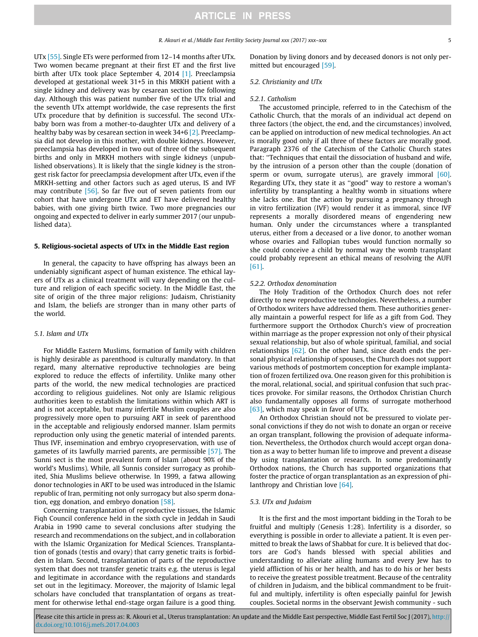UTx [55]. Single ETs were performed from 12–14 months after UTx. Two women became pregnant at their first ET and the first live birth after UTx took place September 4, 2014 [1]. Preeclampsia developed at gestational week 31+5 in this MRKH patient with a single kidney and delivery was by cesarean section the following day. Although this was patient number five of the UTx trial and the seventh UTx attempt worldwide, the case represents the first UTx procedure that by definition is successful. The second UTxbaby born was from a mother-to-daughter UTx and delivery of a healthy baby was by cesarean section in week 34+6 [2]. Preeclampsia did not develop in this mother, with double kidneys. However, preeclampsia has developed in two out of three of the subsequent births and only in MRKH mothers with single kidneys (unpublished observations). It is likely that the single kidney is the strongest risk factor for preeclampsia development after UTx, even if the MRKH-setting and other factors such as aged uterus, IS and IVF may contribute [56]. So far five out of seven patients from our cohort that have undergone UTx and ET have delivered healthy babies, with one giving birth twice. Two more pregnancies our ongoing and expected to deliver in early summer 2017 (our unpublished data).

#### 5. Religious-societal aspects of UTx in the Middle East region

In general, the capacity to have offspring has always been an undeniably significant aspect of human existence. The ethical layers of UTx as a clinical treatment will vary depending on the culture and religion of each specific society. In the Middle East, the site of origin of the three major religions: Judaism, Christianity and Islam, the beliefs are stronger than in many other parts of the world.

# 5.1. Islam and UTx

For Middle Eastern Muslims, formation of family with children is highly desirable as parenthood is culturally mandatory. In that regard, many alternative reproductive technologies are being explored to reduce the effects of infertility. Unlike many other parts of the world, the new medical technologies are practiced according to religious guidelines. Not only are Islamic religious authorities keen to establish the limitations within which ART is and is not acceptable, but many infertile Muslim couples are also progressively more open to pursuing ART in seek of parenthood in the acceptable and religiously endorsed manner. Islam permits reproduction only using the genetic material of intended parents. Thus IVF, insemination and embryo cryopreservation, with use of gametes of its lawfully married parents, are permissible [57]. The Sunni sect is the most prevalent form of Islam (about 90% of the world's Muslims). While, all Sunnis consider surrogacy as prohibited, Shia Muslims believe otherwise. In 1999, a fatwa allowing donor technologies in ART to be used was introduced in the Islamic republic of Iran, permiting not only surrogacy but also sperm donation, egg donation, and embryo donation [58].

Concerning transplantation of reproductive tissues, the Islamic Fiqh Council conference held in the sixth cycle in Jeddah in Saudi Arabia in 1990 came to several conclusions after studying the research and recommendations on the subject, and in collaboration with the Islamic Organization for Medical Sciences. Transplantation of gonads (testis and ovary) that carry genetic traits is forbidden in Islam. Second, transplantation of parts of the reproductive system that does not transfer genetic traits e.g. the uterus is legal and legitimate in accordance with the regulations and standards set out in the legitimacy. Moreover, the majority of Islamic legal scholars have concluded that transplantation of organs as treatment for otherwise lethal end-stage organ failure is a good thing.

Donation by living donors and by deceased donors is not only permitted but encouraged [59].

#### 5.2. Christianity and UTx

#### 5.2.1. Catholism

The accustomed principle, referred to in the Catechism of the Catholic Church, that the morals of an individual act depend on three factors (the object, the end, and the circumstances) involved, can be applied on introduction of new medical technologies. An act is morally good only if all three of these factors are morally good. Paragraph 2376 of the Catechism of the Catholic Church states that: ''Techniques that entail the dissociation of husband and wife, by the intrusion of a person other than the couple (donation of sperm or ovum, surrogate uterus), are gravely immoral  $[60]$ . Regarding UTx, they state it as ''good" way to restore a woman's infertility by transplanting a healthy womb in situations where she lacks one. But the action by pursuing a pregnancy through in vitro fertilization (IVF) would render it as immoral, since IVF represents a morally disordered means of engendering new human. Only under the circumstances where a transplanted uterus, either from a deceased or a live donor, to another woman whose ovaries and Fallopian tubes would function normally so she could conceive a child by normal way the womb transplant could probably represent an ethical means of resolving the AUFI [61].

#### 5.2.2. Orthodox denomination

The Holy Tradition of the Orthodox Church does not refer directly to new reproductive technologies. Nevertheless, a number of Orthodox writers have addressed them. These authorities generally maintain a powerful respect for life as a gift from God. They furthermore support the Orthodox Church's view of procreation within marriage as the proper expression not only of their physical sexual relationship, but also of whole spiritual, familial, and social relationships  $[62]$ . On the other hand, since death ends the personal physical relationship of spouses, the Church does not support various methods of postmortem conception for example implantation of frozen fertilized ova. One reason given for this prohibition is the moral, relational, social, and spiritual confusion that such practices provoke. For similar reasons, the Orthodox Christian Church also fundamentally opposes all forms of surrogate motherhood [63], which may speak in favor of UTx.

An Orthodox Christian should not be pressured to violate personal convictions if they do not wish to donate an organ or receive an organ transplant, following the provision of adequate information. Nevertheless, the Orthodox church would accept organ donation as a way to better human life to improve and prevent a disease by using transplantation or research. In some predominantly Orthodox nations, the Church has supported organizations that foster the practice of organ transplantation as an expression of philanthropy and Christian love [64].

## 5.3. UTx and Judaism

It is the first and the most important bidding in the Torah to be fruitful and multiply (Genesis 1:28). Infertility is a disorder, so everything is possible in order to alleviate a patient. It is even permitted to break the laws of Shabbat for cure. It is believed that doctors are God's hands blessed with special abilities and understanding to alleviate ailing humans and every Jew has to yield affliction of his or her health, and has to do his or her bests to receive the greatest possible treatment. Because of the centrality of children in Judaism, and the biblical commandment to be fruitful and multiply, infertility is often especially painful for Jewish couples. Societal norms in the observant Jewish community - such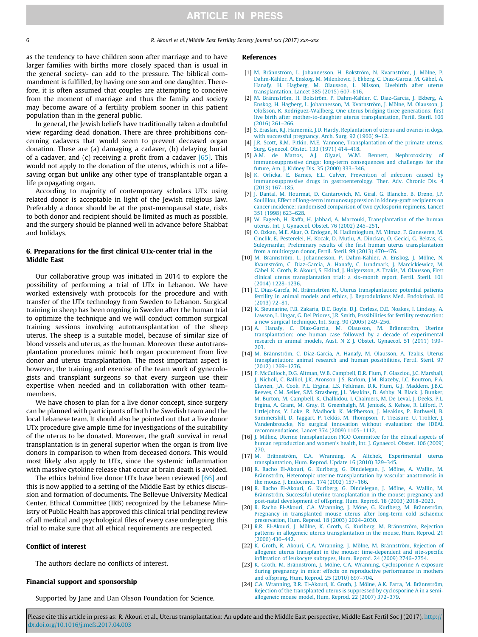as the tendency to have children soon after marriage and to have larger families with births more closely spaced than is usual in the general society- can add to the pressure. The biblical commandment is fulfilled, by having one son and one daughter. Therefore, it is often assumed that couples are attempting to conceive from the moment of marriage and thus the family and society may become aware of a fertility problem sooner in this patient population than in the general public.

In general, the Jewish beliefs have traditionally taken a doubtful view regarding dead donation. There are three prohibitions concerning cadavers that would seem to prevent deceased organ donation. These are (a) damaging a cadaver, (b) delaying burial of a cadaver, and (c) receiving a profit from a cadaver  $[65]$ . This would not apply to the donation of the uterus, which is not a lifesaving organ but unlike any other type of transplantable organ a life propagating organ.

According to majority of contemporary scholars UTx using related donor is acceptable in light of the Jewish religious law. Preferably a donor should be at the post-menopausal state, risks to both donor and recipient should be limited as much as possible, and the surgery should be planned well in advance before Shabbat and holidays.

## 6. Preparations for the first clinical UTx-center trial in the Middle East

Our collaborative group was initiated in 2014 to explore the possibility of performing a trial of UTx in Lebanon. We have worked extensively with protocols for the procedure and with transfer of the UTx technology from Sweden to Lebanon. Surgical training in sheep has been ongoing in Sweden after the human trial to optimize the technique and we will conduct common surgical training sessions involving autotransplantation of the sheep uterus. The sheep is a suitable model, because of similar size of blood vessels and uterus, as the human. Moreover these autotransplantation procedures mimic both organ procurement from live donor and uterus transplantation. The most important aspect is however, the training and exercise of the team work of gynecologists and transplant surgeons so that every surgeon use their expertise when needed and in collaboration with other teammembers.

We have chosen to plan for a live donor concept, since surgery can be planned with participants of both the Swedish team and the local Lebanese team. It should also be pointed out that a live donor UTx procedure give ample time for investigations of the suitability of the uterus to be donated. Moreover, the graft survival in renal transplantation is in general superior when the organ is from live donors in comparison to when from deceased donors. This would most likely also apply to UTx, since the systemic inflammation with massive cytokine release that occur at brain death is avoided.

The ethics behind live donor UTx have been reviewed [66] and this is now applied to a setting of the Middle East by ethics discussion and formation of documents. The Bellevue University Medical Center, Ethical Committee (IRB) recognized by the Lebanese Ministry of Public Health has approved this clinical trial pending review of all medical and psychological files of every case undergoing this trial to make sure that all ethical requirements are respected.

#### Conflict of interest

The authors declare no conflicts of interest.

#### Financial support and sponsorship

Supported by Jane and Dan Olsson Foundation for Science.

#### References

- [1] M. Brännström, L. Johannesson, H. Bokström, N. Kvarnström, J. Mölne, P. Dahm-Kähler, A. Enskog, M. Milenkovic, J. Ekberg, C. Diaz-Garcia, M. Gäbel, A. Hanafy, H. Hagberg, M. Olausson, L. Nilsson, Livebirth after uterus transplantation, Lancet 385 (2015) 607–616.
- [2] M. Brännström, H. Bokström, P. Dahm-Kähler, C. Diaz-Garcia, J. Ekberg, A. Enskog, H. Hagberg, L. Johannesson, M. Kvarnström, J. Mölne, M. Olausson, J. Olofsson, K. Rodriguez-Wallberg, One uterus bridging three generations: first live birth after mother-to-daughter uterus transplantation, Fertil. Steril. 106 (2016) 261–266.
- [3] S. Eraslan, R.J. Hamernik, I.D. Hardy, Replantation of uterus and ovaries in dogs, with successful pregnancy, Arch. Surg. 92 (1966) 9–12.
- [4] J.R. Scott, R.M. Pitkin, M.E. Yannone, Transplantation of the primate uterus, Surg. Gynecol. Obstet. 133 (1971) 414–418.
- [5] A.M. de Mattos, A.J. Olyaei, W.M. Bennett, Nephrotoxicity of immunosuppressive drugs: long-term consequences and challenges for the future, Am. J. Kidney Dis. 35 (2000) 333–346.
- [6] K. Orlicka, E. Barnes, E.L. Culver, Prevention of infection caused by immunosuppressive drugs in gastroenterology, Ther. Adv. Chronic Dis. 4 (2013) 167–185.
- [7] J. Dantal, M. Hourmat, D. Cantarovich, M. Giral, G. Blancho, B. Dreno, J.P. Soulillou, Effect of long-term immunosuppression in kidney-graft recipients on cancer incidence: randomised comparison of two cyclosporin regimens, Lancet 351 (1998) 623–628.
- [8] W. Fageeh, H. Raffa, H. Jabbad, A. Marzouki, Transplantation of the human
- uterus, Int. J. Gynaecol. Obstet. 76 (2002) 245–251. [9] O. Ozkan, M.E. Akar, O. Erdogan, N. Hadimioglum, M. Yilmaz, F. Guneseren, M. Cinclik, E. Pesterelei, H. Kocak, D. Mutlu, A. Dinckan, O. Gecici, G. Bektas, G. Suleymanlar, Preliminary results of the first human uterus transplantation from a multiorgan donor, Fertil. Steril. 99 (2013) 470–476.
- [10] M. Brännström, L. Johannesson, P. Dahm-Kähler, A. Enskog, J. Mölne, N. Kvarnström, C. Diaz-Garcia, A. Hanafy, C. Lundmark, J. Marcickiewicz, M. Gäbel, K. Groth, R. Akouri, S. Eklind, J. Holgersson, A. Tzakis, M. Olausson, First clinical uterus transplantation trial: a six-month report, Fertil. Steril. 101 (2014) 1228–1236.
- [11] C. Díaz-García, M. Brännström M, Uterus transplantation: potential patients fertility in animal models and ethics, J. Reproduktions Med. Endokrinol. 10 (2013) 72–81.
- [12] K. Sieunarine, F.B. Zakaria, D.C. Boyle, D.J. Corless, D.E. Noakes, I. Lindsay, A. Lawson, L. Ungar, G. Del Priores, J.R. Smith, Possibilities for fertility restoration: a new surgical technique, Int. Surg. 90 (2005) 249–256.
- [13] A. Hanafy, C. Diaz-Garcia, M. Olausson, M. Brännström, Uterine transplantation: one human case followed by a decade of experimental research in animal models, Aust. N Z J. Obstet. Gynaecol. 51 (2011) 199– 203.
- [14] M. Brännström, C. Diaz-Garcia, A. Hanafy, M. Olausson, A. Tzakis, Uterus transplantation: animal research and human possibilities, Fertil. Steril. 97 (2012) 1269–1276.
- [15] P. McCulloch, D.G. Altman, W.B. Campbell, D.R. Flum, P. Glasziou, J.C. Marshall, J. Nicholl, C. Balliol, J.K. Aronson, J.S. Barkun, J.M. Blazeby, I.C. Boutron, P.A. Clavien, J.A. Cook, P.L. Ergina, L.S. Feldman, D.R. Flum, G.J. Maddem, J.B.C. Reeves, C.M. Seiler, S.M. Strasberg, J.L. Meakins, D. Ashby, N. Black, J. Bunker, M. Burton, M. Campbell, K. Chalkidou, I. Chalmers, M. De Leval, J. Deeks, P.L. Ergina, A. Grant, M. Gray, R. Greenhalgh, M. Jenicek, S. Kehoe, R. Lilford, P. Littlejohns, Y. Loke, R. Madhock, K. McPherson, J. Meakins, P. Rothwell, B. Summerskill, D. Taggart, P. Tekkis, M. Thompson, T. Treasure, U. Trohler, J. Vandenbroucke, No surgical innovation without evaluation: the IDEAL recommendations, Lancet 374 (2009) 1105–1112.
- [16] J. Milliez, Uterine transplantation FIGO Committee for the ethical aspects of human reproduction and women's health, Int. J. Gynaecol. Obstet. 106 (2009) 270.
- [17] M. Brännström, C.A. Wranning, A. Altchek, Experimental uterus transplantation, Hum. Reprod. Update 16 (2010) 329–345.
- [18] R. Racho El-Akouri, G. Kurlberg, G. Dindelegan, J. Mölne, A. Wallin, M. Brännström, Heterotopic uterine transplantation by vascular anastomosis in the mouse, J. Endocrinol. 174 (2002) 157–166.
- [19] R. Racho El-Akouri, G. Kurlberg, G. Dindelegan, J. Mölne, A. Wallin, M. Brännström, Successful uterine transplantation in the mouse: pregnancy and post-natal development of offspring, Hum. Reprod. 18 (2003) 2018–2023.
- [20] R. Racho El-Akouri, C.A. Wranning, J. Möne, G. Kurlberg, M. Brännström, Pregnancy in transplanted mouse uterus after long-term cold ischaemic preservation, Hum. Reprod. 18 (2003) 2024–2030.
- [21] R.R. El-Akouri, J. Mölne, K. Groth, G. Kurlberg, M. Brännström, Rejection patterns in allogeneic uterus transplantation in the mouse, Hum. Reprod. 21 (2006) 436–442.
- [22] K. Groth, R. Akouri, C.A. Wranning, J. Mölne, M. Brännström, Rejection of allogenic uterus transplant in the mouse: time-dependent and site-specific infiltration of leukocyte subtypes, Hum. Reprod. 24 (2009) 2746–2754.
- [23] K. Groth, M. Brännström, J. Mölne, C.A. Wranning, Cyclosporine A exposure during pregnancy in mice: effects on reproductive performance in mothers and offspring, Hum. Reprod. 25 (2010) 697–704.
- [24] C.A. Wranning, R.R. El-Akouri, K. Groth, J. Mölne, A.K. Parra, M. Brännström, Rejection of the transplanted uterus is suppressed by cyclosporine A in a semiallogeneic mouse model, Hum. Reprod. 22 (2007) 372–379.